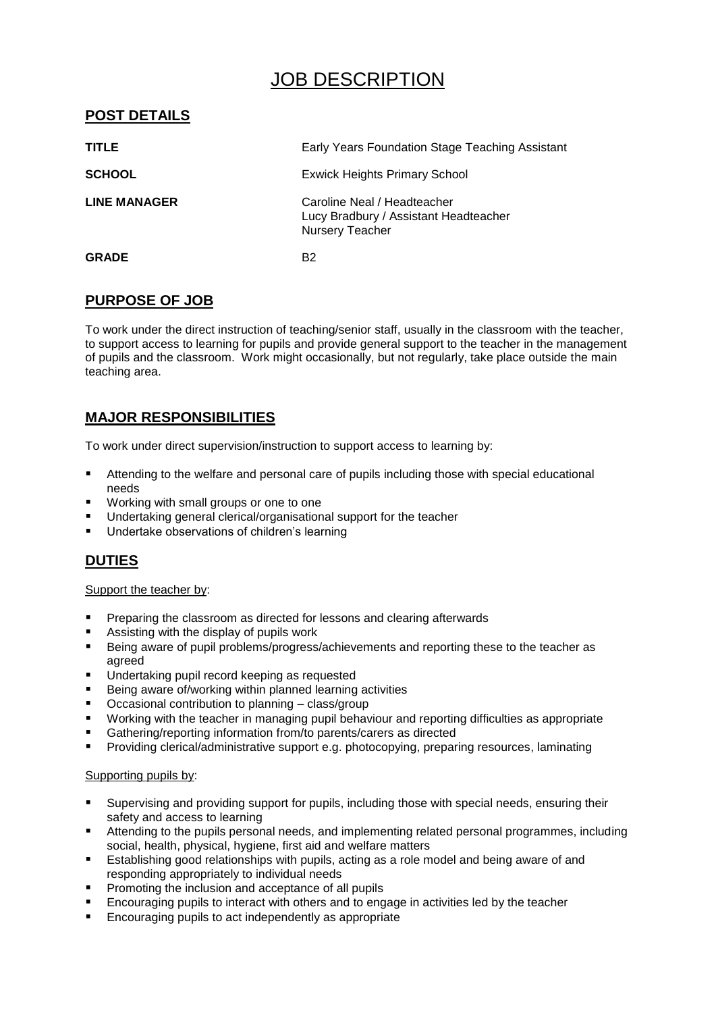# JOB DESCRIPTION

# **POST DETAILS**

| <b>TITLE</b>        | Early Years Foundation Stage Teaching Assistant                                                |
|---------------------|------------------------------------------------------------------------------------------------|
| <b>SCHOOL</b>       | <b>Exwick Heights Primary School</b>                                                           |
| <b>LINE MANAGER</b> | Caroline Neal / Headteacher<br>Lucy Bradbury / Assistant Headteacher<br><b>Nursery Teacher</b> |
| <b>GRADE</b>        | B <sub>2</sub>                                                                                 |

# **PURPOSE OF JOB**

To work under the direct instruction of teaching/senior staff, usually in the classroom with the teacher, to support access to learning for pupils and provide general support to the teacher in the management of pupils and the classroom. Work might occasionally, but not regularly, take place outside the main teaching area.

# **MAJOR RESPONSIBILITIES**

To work under direct supervision/instruction to support access to learning by:

- Attending to the welfare and personal care of pupils including those with special educational needs
- Working with small groups or one to one
- Undertaking general clerical/organisational support for the teacher
- Undertake observations of children's learning

# **DUTIES**

### Support the teacher by:

- Preparing the classroom as directed for lessons and clearing afterwards
- Assisting with the display of pupils work
- Being aware of pupil problems/progress/achievements and reporting these to the teacher as agreed
- **Undertaking pupil record keeping as requested**
- Being aware of/working within planned learning activities
- Occasional contribution to planning class/group
- Working with the teacher in managing pupil behaviour and reporting difficulties as appropriate
- Gathering/reporting information from/to parents/carers as directed
- Providing clerical/administrative support e.g. photocopying, preparing resources, laminating

### Supporting pupils by:

- Supervising and providing support for pupils, including those with special needs, ensuring their safety and access to learning
- Attending to the pupils personal needs, and implementing related personal programmes, including social, health, physical, hygiene, first aid and welfare matters
- Establishing good relationships with pupils, acting as a role model and being aware of and responding appropriately to individual needs
- **Promoting the inclusion and acceptance of all pupils**
- Encouraging pupils to interact with others and to engage in activities led by the teacher
- Encouraging pupils to act independently as appropriate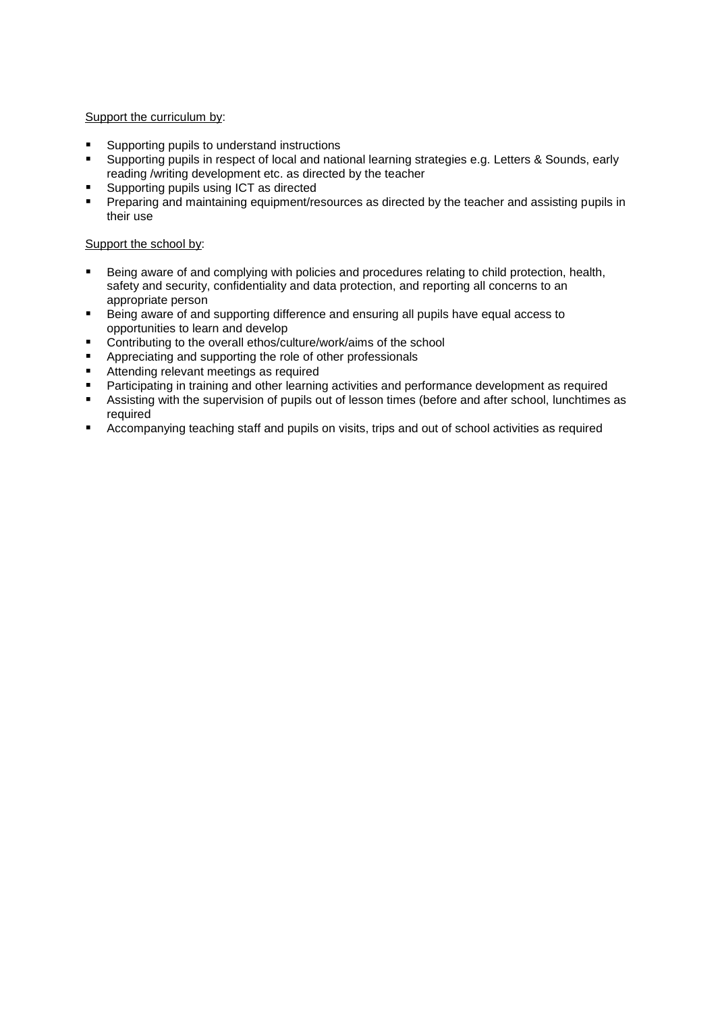### Support the curriculum by:

- Supporting pupils to understand instructions
- Supporting pupils in respect of local and national learning strategies e.g. Letters & Sounds, early reading /writing development etc. as directed by the teacher
- Supporting pupils using ICT as directed
- Preparing and maintaining equipment/resources as directed by the teacher and assisting pupils in their use

### Support the school by:

- **Being aware of and complying with policies and procedures relating to child protection, health,** safety and security, confidentiality and data protection, and reporting all concerns to an appropriate person
- Being aware of and supporting difference and ensuring all pupils have equal access to opportunities to learn and develop
- Contributing to the overall ethos/culture/work/aims of the school
- Appreciating and supporting the role of other professionals
- Attending relevant meetings as required
- Participating in training and other learning activities and performance development as required
- **Assisting with the supervision of pupils out of lesson times (before and after school, lunchtimes as** required
- Accompanying teaching staff and pupils on visits, trips and out of school activities as required